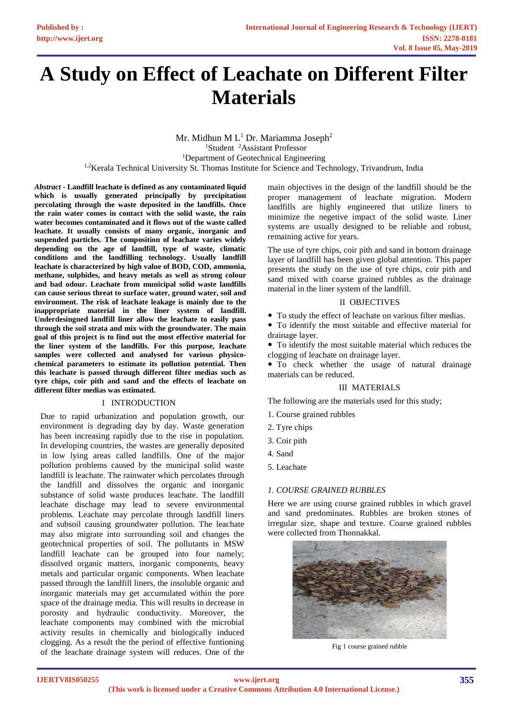# **A Study on Effect of Leachate on Different Filter Materials**

Mr. Midhun M  $L<sup>1</sup>$  Dr. Mariamma Joseph<sup>2</sup> <sup>1</sup>Student <sup>2</sup>Assistant Professor <sup>1</sup>Department of Geotechnical Engineering <sup>1,2</sup>Kerala Technical University St. Thomas Institute for Science and Technology, Trivandrum, India

*Abstract* **- Landfill leachate is defined as any contaminated liquid which is usually generated principally by precipitation percolating through the waste deposited in the landfills. Once the rain water comes in contact with the solid waste, the rain water becomes contaminated and it flows out of the waste called leachate. It usually consists of many organic, inorganic and suspended particles. The composition of leachate varies widely depending on the age of landfill, type of waste, climatic conditions and the landfilling technology. Usually landfill leachate is characterized by high value of BOD, COD, ammonia, methane, sulphides, and heavy metals as well as strong colour and bad odour. Leachate from municipal solid waste landfills can cause serious threat to surface water, ground water, soil and environment. The risk of leachate leakage is mainly due to the inappropriate material in the liner system of landfill. Underdesingned landfill liner allow the leachate to easily pass through the soil strata and mix with the groundwater. The main goal of this project is to find out the most effective material for the liner system of the landfills. For this purpose, leachate samples were collected and analysed for various physicochemical parameters to estimate its pollution potential. Then this leachate is passed through different filter medias such as tyre chips, coir pith and sand and the effects of leachate on different filter medias was estimated.** 

#### I INTRODUCTION

Due to rapid urbanization and population growth, our environment is degrading day by day. Waste generation has been increasing rapidly due to the rise in population. In developing countries, the wastes are generally deposited in low lying areas called landfills. One of the major pollution problems caused by the municipal solid waste landfill is leachate. The rainwater which percolates through the landfill and dissolves the organic and inorganic substance of solid waste produces leachate. The landfill leachate dischage may lead to severe environmental problems. Leachate may percolate through landfill liners and subsoil causing groundwater pollution. The leachate may also migrate into surrounding soil and changes the geotechnical properties of soil. The pollutants in MSW landfill leachate can be grouped into four namely; dissolved organic matters, inorganic components, heavy metals and particular organic components. When leachate passed through the landfill liners, the insoluble organic and inorganic materials may get accumulated within the pore space of the drainage media. This will results in decrease in porosity and hydraulic conductivity. Moreover, the leachate components may combined with the microbial activity results in chemically and biologically induced clogging. As a result the the period of effective funtioning of the leachate drainage system will reduces. One of the main objectives in the design of the landfill should be the proper management of leachate migration. Modern landfills are highly engineered that utilize liners to minimize the negetive impact of the solid waste. Liner systems are usually designed to be reliable and robust, remaining active for years.

The use of tyre chips, coir pith and sand in bottom drainage layer of landfill has been given global attention. This paper presents the study on the use of tyre chips, coir pith and sand mixed with coarse grained rubbles as the drainage material in the liner system of the landfill.

#### II OBJECTIVES

- To study the effect of leachate on various filter medias.
- To identify the most suitable and effective material for drainage layer.

 To identify the most suitable material which reduces the clogging of leachate on drainage layer.

 To check whether the usage of natural drainage materials can be reduced.

## III MATERIALS

The following are the materials used for this study;

- 1. Course grained rubbles
- 2. Tyre chips
- 3. Coir pith
- 4. Sand
- 5. Leachate

## *1. COURSE GRAINED RUBBLES*

Here we are using course grained rubbles in which gravel and sand predominates. Rubbles are broken stones of irregular size, shape and texture. Coarse grained rubbles were collected from Thonnakkal.



Fig 1 course grained rubble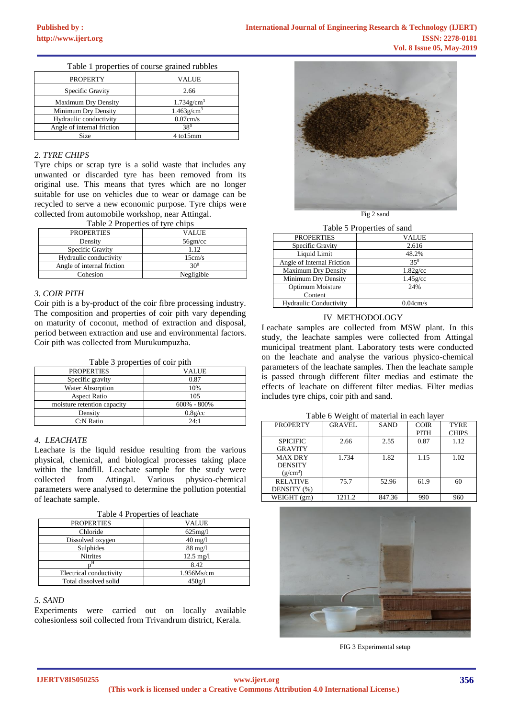| <b>PROPERTY</b>            | <b>VALUE</b>              |  |
|----------------------------|---------------------------|--|
| Specific Gravity           | 2.66                      |  |
| <b>Maximum Dry Density</b> | $1.734$ g/cm <sup>3</sup> |  |
| Minimum Dry Density        | $1.463$ g/cm <sup>3</sup> |  |
| Hydraulic conductivity     | 0.07cm/s                  |  |
| Angle of internal friction | 380                       |  |
| Size                       | 4 to15mm                  |  |

Table 1 properties of course grained rubbles

#### *2. TYRE CHIPS*

Tyre chips or scrap tyre is a solid waste that includes any unwanted or discarded tyre has been removed from its original use. This means that tyres which are no longer suitable for use on vehicles due to wear or damage can be recycled to serve a new economic purpose. Tyre chips were collected from automobile workshop, near Attingal. Table 2 Properties of tyre chips

| Frable 2 Properties of tyre chips |            |  |
|-----------------------------------|------------|--|
| <b>PROPERTIES</b>                 | VALUE      |  |
| Density                           | 56gm/cc    |  |
| Specific Gravity                  | 1.12       |  |
| Hydraulic conductivity            | 15cm/s     |  |
| Angle of internal friction        | $30^{0}$   |  |
| Cohesion                          | Negligible |  |

## *3. COIR PITH*

Coir pith is a by-product of the coir fibre processing industry. The composition and properties of coir pith vary depending on maturity of coconut, method of extraction and disposal, period between extraction and use and environmental factors. Coir pith was collected from Murukumpuzha.

Table 3 properties of coir pith

| <b>PROPERTIES</b>           | VALUE           |
|-----------------------------|-----------------|
| Specific gravity            | 0.87            |
| <b>Water Absorption</b>     | 10%             |
| <b>Aspect Ratio</b>         | 105             |
| moisture retention capacity | $600\% - 800\%$ |
| Density                     | 0.8g/cc         |
| C:N Ratio                   | 24:1            |

## *4. LEACHATE*

Leachate is the liquld residue resulting from the various physical, chemical, and biological processes taking place within the landfill. Leachate sample for the study were collected from Attingal. Various physico-chemical parameters were analysed to determine the pollution potential of leachate sample.

| Table 4 Properties of leachate |
|--------------------------------|
|--------------------------------|

| <b>PROPERTIES</b>       | <b>VALUE</b>        |
|-------------------------|---------------------|
| Chloride                | $625$ mg/l          |
| Dissolved oxygen        | $40 \text{ mg}/1$   |
| Sulphides               | $88 \text{ mg}/1$   |
| <b>Nitrites</b>         | $12.5 \text{ mg}/1$ |
|                         | 8.42                |
| Electrical conductivity | 1.956Ms/cm          |
| Total dissolved solid   | 450g/l              |

#### *5. SAND*

Experiments were carried out on locally available cohesionless soil collected from Trivandrum district, Kerala.



Table 5 Properties of sand

| <b>PROPERTIES</b>             | VALUE       |
|-------------------------------|-------------|
| Specific Gravity              | 2.616       |
| Liquid Limit                  | 48.2%       |
| Angle of Internal Friction    | $35^{0}$    |
| <b>Maximum Dry Density</b>    | $1.82$ g/cc |
| Minimum Dry Density           | $1.45$ g/cc |
| Optimum Moisture              | 24%         |
| Content                       |             |
| <b>Hydraulic Conductivity</b> | 0.04cm/s    |

## IV METHODOLOGY

Leachate samples are collected from MSW plant. In this study, the leachate samples were collected from Attingal municipal treatment plant. Laboratory tests were conducted on the leachate and analyse the various physico-chemical parameters of the leachate samples. Then the leachate sample is passed through different filter medias and estimate the effects of leachate on different filter medias. Filter medias includes tyre chips, coir pith and sand.

Table 6 Weight of material in each layer

| <b>PROPERTY</b> | <b>GRAVEL</b> | <b>SAND</b> | <b>COIR</b> | <b>TYRE</b>  |
|-----------------|---------------|-------------|-------------|--------------|
|                 |               |             | <b>PITH</b> | <b>CHIPS</b> |
| <b>SPICIFIC</b> | 2.66          | 2.55        | 0.87        | 1.12         |
| <b>GRAVITY</b>  |               |             |             |              |
| <b>MAX DRY</b>  | 1.734         | 1.82        | 1.15        | 1.02         |
| <b>DENSITY</b>  |               |             |             |              |
| $(g/cm^3)$      |               |             |             |              |
| <b>RELATIVE</b> | 75.7          | 52.96       | 61.9        | 60           |
| DENSITY (%)     |               |             |             |              |
| WEIGHT (gm)     | 1211.2        | 847.36      | 990         | 960          |



FIG 3 Experimental setup